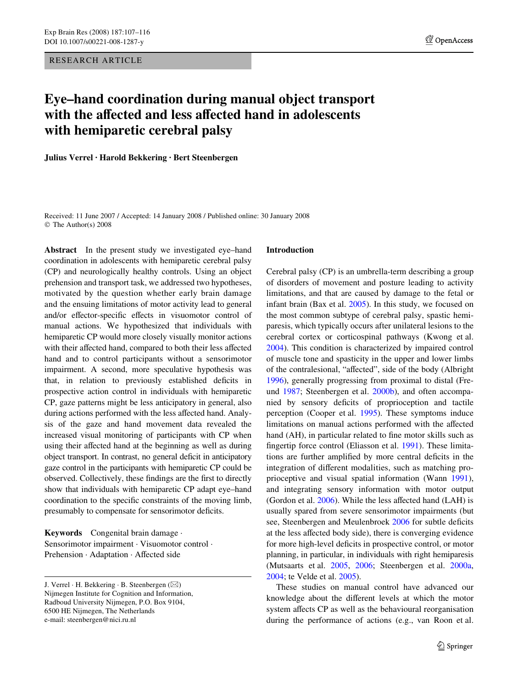RESEARCH ARTICLE

# **Eye–hand coordination during manual object transport with the affected and less affected hand in adolescents with hemiparetic cerebral palsy**

**Julius Verrel · Harold Bekkering · Bert Steenbergen** 

Received: 11 June 2007 / Accepted: 14 January 2008 / Published online: 30 January 2008 © The Author(s) 2008

**Abstract** In the present study we investigated eye–hand coordination in adolescents with hemiparetic cerebral palsy (CP) and neurologically healthy controls. Using an object prehension and transport task, we addressed two hypotheses, motivated by the question whether early brain damage and the ensuing limitations of motor activity lead to general and/or effector-specific effects in visuomotor control of manual actions. We hypothesized that individuals with hemiparetic CP would more closely visually monitor actions with their affected hand, compared to both their less affected hand and to control participants without a sensorimotor impairment. A second, more speculative hypothesis was that, in relation to previously established deficits in prospective action control in individuals with hemiparetic CP, gaze patterns might be less anticipatory in general, also during actions performed with the less affected hand. Analysis of the gaze and hand movement data revealed the increased visual monitoring of participants with CP when using their affected hand at the beginning as well as during object transport. In contrast, no general deficit in anticipatory gaze control in the participants with hemiparetic CP could be observed. Collectively, these findings are the first to directly show that individuals with hemiparetic CP adapt eye–hand coordination to the specific constraints of the moving limb, presumably to compensate for sensorimotor deficits.

**Keywords** Congenital brain damage · Sensorimotor impairment · Visuomotor control · Prehension · Adaptation · Affected side

#### **Introduction**

Cerebral palsy (CP) is an umbrella-term describing a group of disorders of movement and posture leading to activity limitations, and that are caused by damage to the fetal or infant brain (Bax et al. [2005\)](#page-9-0). In this study, we focused on the most common subtype of cerebral palsy, spastic hemiparesis, which typically occurs after unilateral lesions to the cerebral cortex or corticospinal pathways (Kwong et al. [2004](#page-9-1)). This condition is characterized by impaired control of muscle tone and spasticity in the upper and lower limbs of the contralesional, "affected", side of the body (Albright [1996](#page-9-2)), generally progressing from proximal to distal (Freund [1987;](#page-9-3) Steenbergen et al. [2000b](#page-9-4)), and often accompanied by sensory deficits of proprioception and tactile perception (Cooper et al. [1995\)](#page-9-5). These symptoms induce limitations on manual actions performed with the affected hand (AH), in particular related to fine motor skills such as fingertip force control (Eliasson et al. [1991\)](#page-9-6). These limitations are further amplified by more central deficits in the integration of different modalities, such as matching proprioceptive and visual spatial information (Wann [1991\)](#page-9-7), and integrating sensory information with motor output (Gordon et al.  $2006$ ). While the less affected hand (LAH) is usually spared from severe sensorimotor impairments (but see, Steenbergen and Meulenbroek [2006](#page-9-9) for subtle deficits at the less affected body side), there is converging evidence for more high-level deficits in prospective control, or motor planning, in particular, in individuals with right hemiparesis (Mutsaarts et al. [2005](#page-9-10), [2006](#page-9-11); Steenbergen et al. [2000a,](#page-9-12) [2004](#page-9-13); te Velde et al. [2005](#page-9-14)).

These studies on manual control have advanced our knowledge about the different levels at which the motor system affects CP as well as the behavioural reorganisation during the performance of actions (e.g., van Roon et al.

J. Verrel  $\cdot$  H. Bekkering  $\cdot$  B. Steenbergen ( $\boxtimes$ ) Nijmegen Institute for Cognition and Information, Radboud University Nijmegen, P.O. Box 9104, 6500 HE Nijmegen, The Netherlands e-mail: steenbergen@nici.ru.nl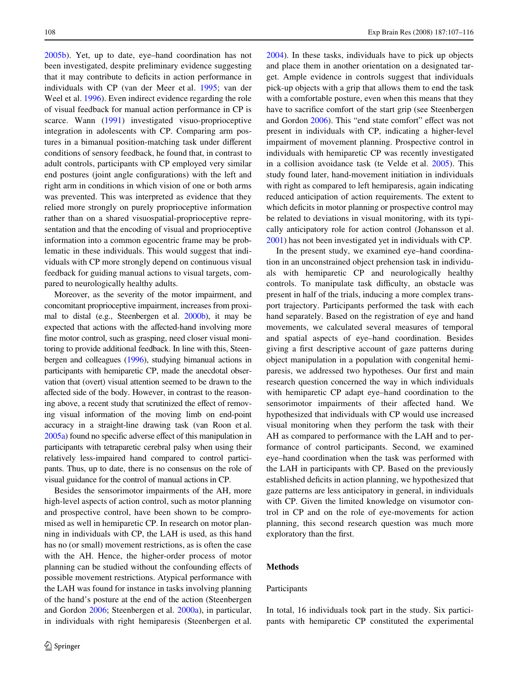[2005b](#page-9-15)). Yet, up to date, eye–hand coordination has not been investigated, despite preliminary evidence suggesting that it may contribute to deficits in action performance in individuals with CP (van der Meer et al. [1995;](#page-9-16) van der Weel et al. [1996](#page-9-17)). Even indirect evidence regarding the role of visual feedback for manual action performance in CP is scarce. Wann [\(1991](#page-9-7)) investigated visuo-proprioceptive integration in adolescents with CP. Comparing arm postures in a bimanual position-matching task under different conditions of sensory feedback, he found that, in contrast to adult controls, participants with CP employed very similar end postures (joint angle configurations) with the left and right arm in conditions in which vision of one or both arms was prevented. This was interpreted as evidence that they relied more strongly on purely proprioceptive information rather than on a shared visuospatial-proprioceptive representation and that the encoding of visual and proprioceptive information into a common egocentric frame may be problematic in these individuals. This would suggest that individuals with CP more strongly depend on continuous visual feedback for guiding manual actions to visual targets, compared to neurologically healthy adults.

Moreover, as the severity of the motor impairment, and concomitant proprioceptive impairment, increases from proximal to distal (e.g., Steenbergen et al. [2000b](#page-9-4)), it may be expected that actions with the affected-hand involving more fine motor control, such as grasping, need closer visual monitoring to provide additional feedback. In line with this, Steenbergen and colleagues [\(1996](#page-9-18)), studying bimanual actions in participants with hemiparetic CP, made the anecdotal observation that (overt) visual attention seemed to be drawn to the affected side of the body. However, in contrast to the reasoning above, a recent study that scrutinized the effect of removing visual information of the moving limb on end-point accuracy in a straight-line drawing task (van Roon et al. [2005a\)](#page-9-19) found no specific adverse effect of this manipulation in participants with tetraparetic cerebral palsy when using their relatively less-impaired hand compared to control participants. Thus, up to date, there is no consensus on the role of visual guidance for the control of manual actions in CP.

Besides the sensorimotor impairments of the AH, more high-level aspects of action control, such as motor planning and prospective control, have been shown to be compromised as well in hemiparetic CP. In research on motor planning in individuals with CP, the LAH is used, as this hand has no (or small) movement restrictions, as is often the case with the AH. Hence, the higher-order process of motor planning can be studied without the confounding effects of possible movement restrictions. Atypical performance with the LAH was found for instance in tasks involving planning of the hand's posture at the end of the action (Steenbergen and Gordon [2006;](#page-9-20) Steenbergen et al. [2000a](#page-9-12)), in particular, in individuals with right hemiparesis (Steenbergen et al.

[2004](#page-9-13)). In these tasks, individuals have to pick up objects and place them in another orientation on a designated target. Ample evidence in controls suggest that individuals pick-up objects with a grip that allows them to end the task with a comfortable posture, even when this means that they have to sacrifice comfort of the start grip (see Steenbergen and Gordon [2006](#page-9-20)). This "end state comfort" effect was not present in individuals with CP, indicating a higher-level impairment of movement planning. Prospective control in individuals with hemiparetic CP was recently investigated in a collision avoidance task (te Velde et al. [2005\)](#page-9-14). This study found later, hand-movement initiation in individuals with right as compared to left hemiparesis, again indicating reduced anticipation of action requirements. The extent to which deficits in motor planning or prospective control may be related to deviations in visual monitoring, with its typically anticipatory role for action control (Johansson et al. [2001](#page-9-21)) has not been investigated yet in individuals with CP.

In the present study, we examined eye–hand coordination in an unconstrained object prehension task in individuals with hemiparetic CP and neurologically healthy controls. To manipulate task difficulty, an obstacle was present in half of the trials, inducing a more complex transport trajectory. Participants performed the task with each hand separately. Based on the registration of eye and hand movements, we calculated several measures of temporal and spatial aspects of eye–hand coordination. Besides giving a first descriptive account of gaze patterns during object manipulation in a population with congenital hemiparesis, we addressed two hypotheses. Our first and main research question concerned the way in which individuals with hemiparetic CP adapt eye–hand coordination to the sensorimotor impairments of their affected hand. We hypothesized that individuals with CP would use increased visual monitoring when they perform the task with their AH as compared to performance with the LAH and to performance of control participants. Second, we examined eye–hand coordination when the task was performed with the LAH in participants with CP. Based on the previously established deficits in action planning, we hypothesized that gaze patterns are less anticipatory in general, in individuals with CP. Given the limited knowledge on visumotor control in CP and on the role of eye-movements for action planning, this second research question was much more exploratory than the first.

#### **Methods**

# Participants

In total, 16 individuals took part in the study. Six participants with hemiparetic CP constituted the experimental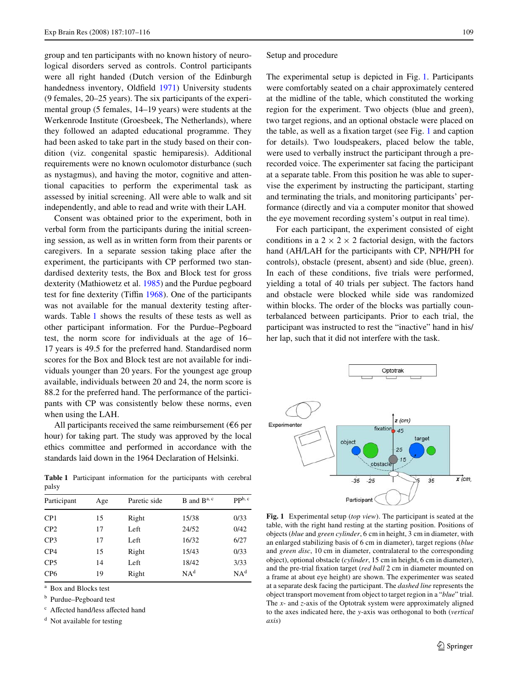group and ten participants with no known history of neurological disorders served as controls. Control participants were all right handed (Dutch version of the Edinburgh handedness inventory, Oldfield [1971\)](#page-9-22) University students (9 females, 20–25 years). The six participants of the experimental group (5 females, 14–19 years) were students at the Werkenrode Institute (Groesbeek, The Netherlands), where they followed an adapted educational programme. They had been asked to take part in the study based on their condition (viz. congenital spastic hemiparesis). Additional requirements were no known oculomotor disturbance (such as nystagmus), and having the motor, cognitive and attentional capacities to perform the experimental task as assessed by initial screening. All were able to walk and sit independently, and able to read and write with their LAH.

Consent was obtained prior to the experiment, both in verbal form from the participants during the initial screening session, as well as in written form from their parents or caregivers. In a separate session taking place after the experiment, the participants with CP performed two standardised dexterity tests, the Box and Block test for gross dexterity (Mathiowetz et al. [1985](#page-9-23)) and the Purdue pegboard test for fine dexterity (Tiffin  $1968$ ). One of the participants was not available for the manual dexterity testing afterwards. Table [1](#page-2-0) shows the results of these tests as well as other participant information. For the Purdue–Pegboard test, the norm score for individuals at the age of 16– 17 years is 49.5 for the preferred hand. Standardised norm scores for the Box and Block test are not available for individuals younger than 20 years. For the youngest age group available, individuals between 20 and 24, the norm score is 88.2 for the preferred hand. The performance of the participants with CP was consistently below these norms, even when using the LAH.

All participants received the same reimbursement ( $\epsilon$ 6 per hour) for taking part. The study was approved by the local ethics committee and performed in accordance with the standards laid down in the 1964 Declaration of Helsinki.

<span id="page-2-0"></span>**Table 1** Participant information for the participants with cerebral palsy

| Participant     | Age | Paretic side | $B$ and $B^{a, c}$ | $\mathbf{pp}^{\mathrm{b}, \mathrm{c}}$ |  |
|-----------------|-----|--------------|--------------------|----------------------------------------|--|
| CP1             | 15  | Right        | 15/38              | 0/33                                   |  |
| CP <sub>2</sub> | 17  | Left         | 24/52              | 0/42                                   |  |
| CP <sub>3</sub> | 17  | Left         | 16/32              | 6/27                                   |  |
| CP4             | 15  | Right        | 15/43              | 0/33                                   |  |
| CP <sub>5</sub> | 14  | Left         | 18/42              | 3/33                                   |  |
| CP <sub>6</sub> | 19  | Right        | NA <sup>d</sup>    | NA <sup>d</sup>                        |  |
|                 |     |              |                    |                                        |  |

<sup>a</sup> Box and Blocks test

<sup>b</sup> Purdue–Pegboard test

c Affected hand/less affected hand

<sup>d</sup> Not available for testing

#### <span id="page-2-2"></span>Setup and procedure

The experimental setup is depicted in Fig. [1.](#page-2-1) Participants were comfortably seated on a chair approximately centered at the midline of the table, which constituted the working region for the experiment. Two objects (blue and green), two target regions, and an optional obstacle were placed on the table, as well as a fixation target (see Fig.  $1$  and caption for details). Two loudspeakers, placed below the table, were used to verbally instruct the participant through a prerecorded voice. The experimenter sat facing the participant at a separate table. From this position he was able to supervise the experiment by instructing the participant, starting and terminating the trials, and monitoring participants' performance (directly and via a computer monitor that showed the eye movement recording system's output in real time).

For each participant, the experiment consisted of eight conditions in a  $2 \times 2 \times 2$  factorial design, with the factors hand (AH/LAH for the participants with CP, NPH/PH for controls), obstacle (present, absent) and side (blue, green). In each of these conditions, five trials were performed, yielding a total of 40 trials per subject. The factors hand and obstacle were blocked while side was randomized within blocks. The order of the blocks was partially counterbalanced between participants. Prior to each trial, the participant was instructed to rest the "inactive" hand in his/ her lap, such that it did not interfere with the task.



<span id="page-2-1"></span>**Fig. 1** Experimental setup (*top view*). The participant is seated at the table, with the right hand resting at the starting position. Positions of objects (*blue* and *green cylinder*, 6 cm in height, 3 cm in diameter, with an enlarged stabilizing basis of 6 cm in diameter), target regions (*blue* and *green disc*, 10 cm in diameter, contralateral to the corresponding object), optional obstacle (*cylinder*, 15 cm in height, 6 cm in diameter), and the pre-trial fixation target (*red ball* 2 cm in diameter mounted on a frame at about eye height) are shown. The experimenter was seated at a separate desk facing the participant. The *dashed line* represents the object transport movement from object to target region in a "*blue*" trial. The *x*- and *z*-axis of the Optotrak system were approximately aligned to the axes indicated here, the *y*-axis was orthogonal to both (*vertical axis*)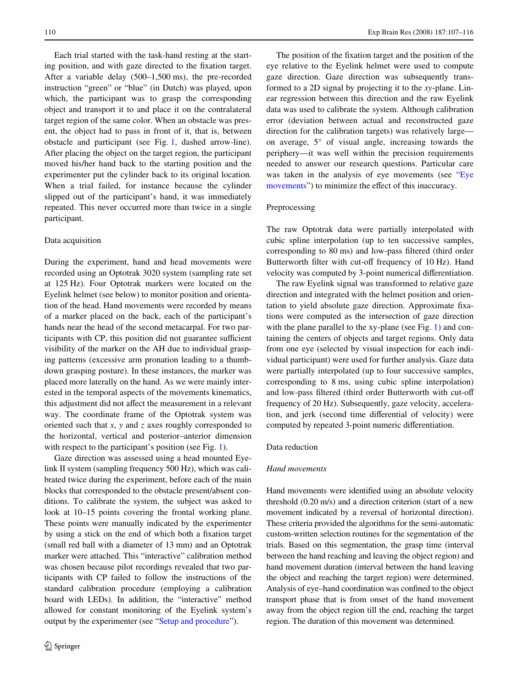Each trial started with the task-hand resting at the starting position, and with gaze directed to the fixation target. After a variable delay (500–1,500 ms), the pre-recorded instruction "green" or "blue" (in Dutch) was played, upon which, the participant was to grasp the corresponding object and transport it to and place it on the contralateral target region of the same color. When an obstacle was present, the object had to pass in front of it, that is, between obstacle and participant (see Fig. [1](#page-2-1), dashed arrow-line). After placing the object on the target region, the participant moved his/her hand back to the starting position and the experimenter put the cylinder back to its original location. When a trial failed, for instance because the cylinder slipped out of the participant's hand, it was immediately repeated. This never occurred more than twice in a single participant.

#### Data acquisition

During the experiment, hand and head movements were recorded using an Optotrak 3020 system (sampling rate set at 125 Hz). Four Optotrak markers were located on the Eyelink helmet (see below) to monitor position and orientation of the head. Hand movements were recorded by means of a marker placed on the back, each of the participant's hands near the head of the second metacarpal. For two participants with CP, this position did not guarantee sufficient visibility of the marker on the AH due to individual grasping patterns (excessive arm pronation leading to a thumbdown grasping posture). In these instances, the marker was placed more laterally on the hand. As we were mainly interested in the temporal aspects of the movements kinematics, this adjustment did not affect the measurement in a relevant way. The coordinate frame of the Optotrak system was oriented such that *x*, *y* and *z* axes roughly corresponded to the horizontal, vertical and posterior–anterior dimension with respect to the participant's position (see Fig. [1](#page-2-1)).

Gaze direction was assessed using a head mounted Eyelink II system (sampling frequency 500 Hz), which was calibrated twice during the experiment, before each of the main blocks that corresponded to the obstacle present/absent conditions. To calibrate the system, the subject was asked to look at 10–15 points covering the frontal working plane. These points were manually indicated by the experimenter by using a stick on the end of which both a fixation target (small red ball with a diameter of 13 mm) and an Optotrak marker were attached. This "interactive" calibration method was chosen because pilot recordings revealed that two participants with CP failed to follow the instructions of the standard calibration procedure (employing a calibration board with LEDs). In addition, the "interactive" method allowed for constant monitoring of the Eyelink system's output by the experimenter (see "[Setup and procedure](#page-2-2)").

The position of the fixation target and the position of the eye relative to the Eyelink helmet were used to compute gaze direction. Gaze direction was subsequently transformed to a 2D signal by projecting it to the *xy*-plane. Linear regression between this direction and the raw Eyelink data was used to calibrate the system. Although calibration error (deviation between actual and reconstructed gaze direction for the calibration targets) was relatively large on average, 5° of visual angle, increasing towards the periphery—it was well within the precision requirements needed to answer our research questions. Particular care was taken in the analysis of eye movements (see "[Eye](#page-4-0) [movements](#page-4-0)") to minimize the effect of this inaccuracy.

# Preprocessing

The raw Optotrak data were partially interpolated with cubic spline interpolation (up to ten successive samples, corresponding to 80 ms) and low-pass filtered (third order Butterworth filter with cut-off frequency of 10 Hz). Hand velocity was computed by 3-point numerical differentiation.

The raw Eyelink signal was transformed to relative gaze direction and integrated with the helmet position and orientation to yield absolute gaze direction. Approximate fixations were computed as the intersection of gaze direction with the plane parallel to the xy-plane (see Fig. [1\)](#page-2-1) and containing the centers of objects and target regions. Only data from one eye (selected by visual inspection for each individual participant) were used for further analysis. Gaze data were partially interpolated (up to four successive samples, corresponding to 8 ms, using cubic spline interpolation) and low-pass filtered (third order Butterworth with cut-off frequency of 20 Hz). Subsequently, gaze velocity, acceleration, and jerk (second time differential of velocity) were computed by repeated 3-point numeric differentiation.

#### <span id="page-3-0"></span>Data reduction

#### *Hand movements*

Hand movements were identified using an absolute velocity threshold (0.20 m/s) and a direction criterion (start of a new movement indicated by a reversal of horizontal direction). These criteria provided the algorithms for the semi-automatic custom-written selection routines for the segmentation of the trials. Based on this segmentation, the grasp time (interval between the hand reaching and leaving the object region) and hand movement duration (interval between the hand leaving the object and reaching the target region) were determined. Analysis of eye-hand coordination was confined to the object transport phase that is from onset of the hand movement away from the object region till the end, reaching the target region. The duration of this movement was determined.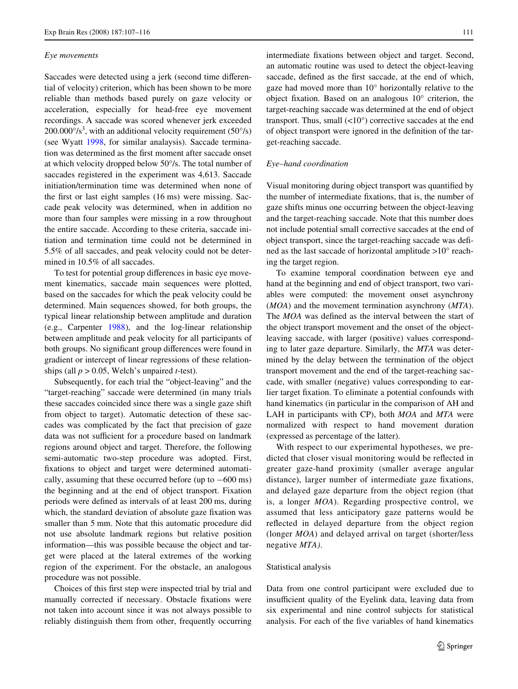#### <span id="page-4-0"></span>*Eye movements*

Saccades were detected using a jerk (second time differential of velocity) criterion, which has been shown to be more reliable than methods based purely on gaze velocity or acceleration, especially for head-free eye movement recordings. A saccade was scored whenever jerk exceeded  $200.000\%$ <sup>3</sup>, with an additional velocity requirement (50 $\degree$ /s) (see Wyatt [1998](#page-9-25), for similar analaysis). Saccade termination was determined as the first moment after saccade onset at which velocity dropped below 50°/s. The total number of saccades registered in the experiment was 4,613. Saccade initiation/termination time was determined when none of the first or last eight samples  $(16 \text{ ms})$  were missing. Saccade peak velocity was determined, when in addition no more than four samples were missing in a row throughout the entire saccade. According to these criteria, saccade initiation and termination time could not be determined in 5.5% of all saccades, and peak velocity could not be determined in 10.5% of all saccades.

To test for potential group differences in basic eye movement kinematics, saccade main sequences were plotted, based on the saccades for which the peak velocity could be determined. Main sequences showed, for both groups, the typical linear relationship between amplitude and duration (e.g., Carpenter [1988](#page-9-26)), and the log-linear relationship between amplitude and peak velocity for all participants of both groups. No significant group differences were found in gradient or intercept of linear regressions of these relationships (all *p* > 0.05, Welch's unpaired *t*-test).

Subsequently, for each trial the "object-leaving" and the "target-reaching" saccade were determined (in many trials these saccades coincided since there was a single gaze shift from object to target). Automatic detection of these saccades was complicated by the fact that precision of gaze data was not sufficient for a procedure based on landmark regions around object and target. Therefore, the following semi-automatic two-step procedure was adopted. First, fixations to object and target were determined automatically, assuming that these occurred before (up to  $-600$  ms) the beginning and at the end of object transport. Fixation periods were defined as intervals of at least 200 ms, during which, the standard deviation of absolute gaze fixation was smaller than 5 mm. Note that this automatic procedure did not use absolute landmark regions but relative position information—this was possible because the object and target were placed at the lateral extremes of the working region of the experiment. For the obstacle, an analogous procedure was not possible.

Choices of this first step were inspected trial by trial and manually corrected if necessary. Obstacle fixations were not taken into account since it was not always possible to reliably distinguish them from other, frequently occurring intermediate fixations between object and target. Second, an automatic routine was used to detect the object-leaving saccade, defined as the first saccade, at the end of which, gaze had moved more than 10° horizontally relative to the object fixation. Based on an analogous  $10^{\circ}$  criterion, the target-reaching saccade was determined at the end of object transport. Thus, small  $\left($ <10°) corrective saccades at the end of object transport were ignored in the definition of the target-reaching saccade.

#### <span id="page-4-1"></span>*Eye–hand coordination*

Visual monitoring during object transport was quantified by the number of intermediate fixations, that is, the number of gaze shifts minus one occurring between the object-leaving and the target-reaching saccade. Note that this number does not include potential small corrective saccades at the end of object transport, since the target-reaching saccade was defined as the last saccade of horizontal amplitude >10° reaching the target region.

To examine temporal coordination between eye and hand at the beginning and end of object transport, two variables were computed: the movement onset asynchrony (*MOA*) and the movement termination asynchrony (*MTA*). The *MOA* was defined as the interval between the start of the object transport movement and the onset of the objectleaving saccade, with larger (positive) values corresponding to later gaze departure. Similarly, the *MTA* was determined by the delay between the termination of the object transport movement and the end of the target-reaching saccade, with smaller (negative) values corresponding to earlier target fixation. To eliminate a potential confounds with hand kinematics (in particular in the comparison of AH and LAH in participants with CP), both *MOA* and *MTA* were normalized with respect to hand movement duration (expressed as percentage of the latter).

With respect to our experimental hypotheses, we predicted that closer visual monitoring would be reflected in greater gaze-hand proximity (smaller average angular distance), larger number of intermediate gaze fixations, and delayed gaze departure from the object region (that is, a longer *MOA*). Regarding prospective control, we assumed that less anticipatory gaze patterns would be reflected in delayed departure from the object region (longer *MOA*) and delayed arrival on target (shorter/less negative *MTA)*.

#### Statistical analysis

Data from one control participant were excluded due to insufficient quality of the Eyelink data, leaving data from six experimental and nine control subjects for statistical analysis. For each of the five variables of hand kinematics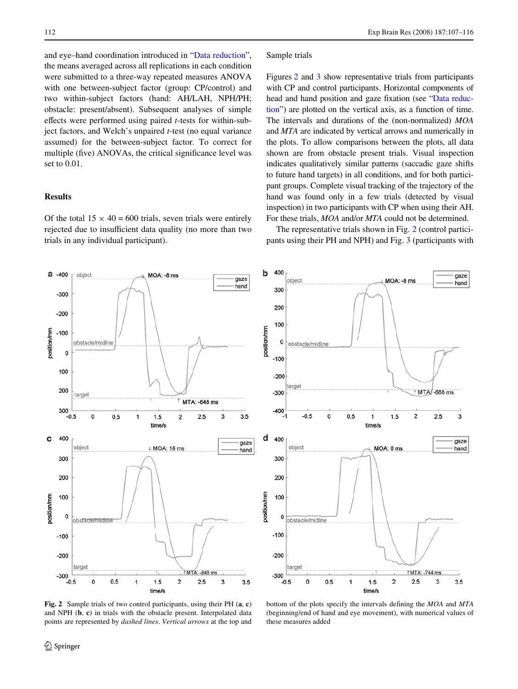gaze

hand

3

gaze

hand

 $3.5$ 

and eye–hand coordination introduced in "[Data reduction](#page-3-0)", the means averaged across all replications in each condition were submitted to a three-way repeated measures ANOVA with one between-subject factor (group: CP/control) and two within-subject factors (hand: AH/LAH, NPH/PH; obstacle: present/absent). Subsequent analyses of simple effects were performed using paired *t*-tests for within-subject factors, and Welch's unpaired *t*-test (no equal variance assumed) for the between-subject factor. To correct for multiple (five) ANOVAs, the critical significance level was set to 0.01.

## **Results**

Of the total  $15 \times 40 = 600$  trials, seven trials were entirely rejected due to insufficient data quality (no more than two trials in any individual participant).

#### Sample trials

Figures [2](#page-5-0) and [3](#page-6-0) show representative trials from participants with CP and control participants. Horizontal components of head and hand position and gaze fixation (see "[Data reduc](#page-3-0)[tion](#page-3-0)") are plotted on the vertical axis, as a function of time. The intervals and durations of the (non-normalized) *MOA* and *MTA* are indicated by vertical arrows and numerically in the plots. To allow comparisons between the plots, all data shown are from obstacle present trials. Visual inspection indicates qualitatively similar patterns (saccadic gaze shifts to future hand targets) in all conditions, and for both participant groups. Complete visual tracking of the trajectory of the hand was found only in a few trials (detected by visual inspection) in two participants with CP when using their AH. For these trials, *MOA* and/or *MTA* could not be determined.

The representative trials shown in Fig. [2](#page-5-0) (control participants using their PH and NPH) and Fig. [3](#page-6-0) (participants with



<span id="page-5-0"></span>**Fig. 2** Sample trials of two control participants, using their PH (**a**, **c**) and NPH (**b**, **c**) in trials with the obstacle present. Interpolated data points are represented by *dashed lines*. *Vertical arrows* at the top and

bottom of the plots specify the intervals defining the  $MOA$  and  $MTA$ (beginning/end of hand and eye movement), with numerical values of these measures added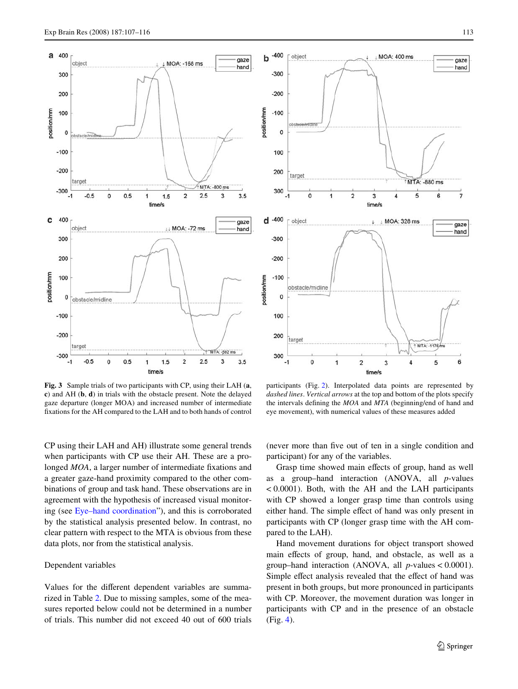

<span id="page-6-0"></span>**Fig. 3** Sample trials of two participants with CP, using their LAH (**a**, **c**) and AH (**b**, **d**) in trials with the obstacle present. Note the delayed gaze departure (longer MOA) and increased number of intermediate fixations for the AH compared to the LAH and to both hands of control



## Dependent variables

Values for the different dependent variables are summarized in Table [2](#page-7-0). Due to missing samples, some of the measures reported below could not be determined in a number of trials. This number did not exceed 40 out of 600 trials



participants (Fig. [2\)](#page-5-0). Interpolated data points are represented by *dashed lines*. *Vertical arrows* at the top and bottom of the plots specify the intervals defining the *MOA* and *MTA* (beginning/end of hand and eye movement), with numerical values of these measures added

(never more than five out of ten in a single condition and participant) for any of the variables.

Grasp time showed main effects of group, hand as well as a group–hand interaction (ANOVA, all *p*-values < 0.0001). Both, with the AH and the LAH participants with CP showed a longer grasp time than controls using either hand. The simple effect of hand was only present in participants with CP (longer grasp time with the AH compared to the LAH).

Hand movement durations for object transport showed main effects of group, hand, and obstacle, as well as a group–hand interaction (ANOVA, all *p*-values < 0.0001). Simple effect analysis revealed that the effect of hand was present in both groups, but more pronounced in participants with CP. Moreover, the movement duration was longer in participants with CP and in the presence of an obstacle (Fig. [4\)](#page-7-1).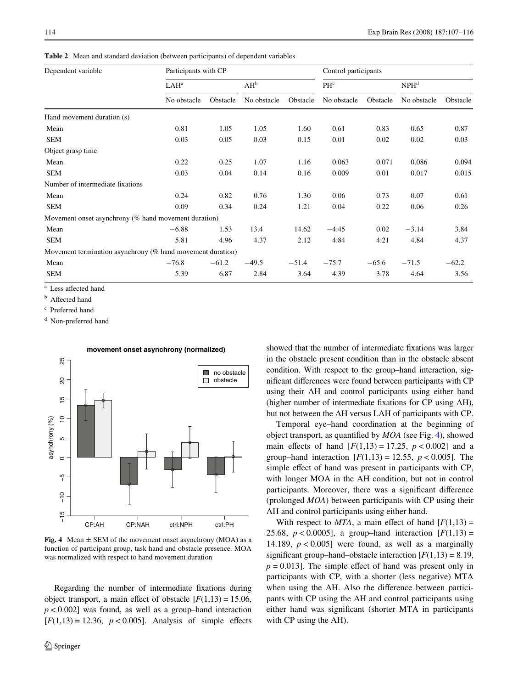<span id="page-7-0"></span>**Table 2** Mean and standard deviation (between participants) of dependent variables

| Dependent variable                                         | Participants with CP |          |             |          | Control participants |          |                  |          |
|------------------------------------------------------------|----------------------|----------|-------------|----------|----------------------|----------|------------------|----------|
|                                                            | LAH <sup>a</sup>     |          | $AH^b$      |          | PHc                  |          | NPH <sup>d</sup> |          |
|                                                            | No obstacle          | Obstacle | No obstacle | Obstacle | No obstacle          | Obstacle | No obstacle      | Obstacle |
| Hand movement duration (s)                                 |                      |          |             |          |                      |          |                  |          |
| Mean                                                       | 0.81                 | 1.05     | 1.05        | 1.60     | 0.61                 | 0.83     | 0.65             | 0.87     |
| <b>SEM</b>                                                 | 0.03                 | 0.05     | 0.03        | 0.15     | 0.01                 | 0.02     | 0.02             | 0.03     |
| Object grasp time                                          |                      |          |             |          |                      |          |                  |          |
| Mean                                                       | 0.22                 | 0.25     | 1.07        | 1.16     | 0.063                | 0.071    | 0.086            | 0.094    |
| <b>SEM</b>                                                 | 0.03                 | 0.04     | 0.14        | 0.16     | 0.009                | 0.01     | 0.017            | 0.015    |
| Number of intermediate fixations                           |                      |          |             |          |                      |          |                  |          |
| Mean                                                       | 0.24                 | 0.82     | 0.76        | 1.30     | 0.06                 | 0.73     | 0.07             | 0.61     |
| <b>SEM</b>                                                 | 0.09                 | 0.34     | 0.24        | 1.21     | 0.04                 | 0.22     | 0.06             | 0.26     |
| Movement onset asynchrony (% hand movement duration)       |                      |          |             |          |                      |          |                  |          |
| Mean                                                       | $-6.88$              | 1.53     | 13.4        | 14.62    | $-4.45$              | 0.02     | $-3.14$          | 3.84     |
| <b>SEM</b>                                                 | 5.81                 | 4.96     | 4.37        | 2.12     | 4.84                 | 4.21     | 4.84             | 4.37     |
| Movement termination asynchrony (% hand movement duration) |                      |          |             |          |                      |          |                  |          |
| Mean                                                       | $-76.8$              | $-61.2$  | $-49.5$     | $-51.4$  | $-75.7$              | $-65.6$  | $-71.5$          | $-62.2$  |
| <b>SEM</b>                                                 | 5.39                 | 6.87     | 2.84        | 3.64     | 4.39                 | 3.78     | 4.64             | 3.56     |

<sup>a</sup> Less affected hand

**b** Affected hand

<sup>c</sup> Preferred hand

<sup>d</sup> Non-preferred hand



<span id="page-7-1"></span>**Fig. 4** Mean  $\pm$  SEM of the movement onset asynchrony (MOA) as a function of participant group, task hand and obstacle presence. MOA was normalized with respect to hand movement duration

Regarding the number of intermediate fixations during object transport, a main effect of obstacle  $[F(1,13) = 15.06]$ ,  $p < 0.002$ ] was found, as well as a group–hand interaction  $[F(1,13) = 12.36, p < 0.005]$ . Analysis of simple effects showed that the number of intermediate fixations was larger in the obstacle present condition than in the obstacle absent condition. With respect to the group–hand interaction, significant differences were found between participants with CP using their AH and control participants using either hand (higher number of intermediate fixations for CP using AH), but not between the AH versus LAH of participants with CP.

Temporal eye–hand coordination at the beginning of object transport, as quantified by  $MOA$  (see Fig. [4](#page-7-1)), showed main effects of hand  $[F(1,13) = 17.25, p < 0.002]$  and a group–hand interaction  $[F(1,13) = 12.55, p < 0.005]$ . The simple effect of hand was present in participants with CP, with longer MOA in the AH condition, but not in control participants. Moreover, there was a significant difference (prolonged *MOA*) between participants with CP using their AH and control participants using either hand.

With respect to  $MTA$ , a main effect of hand  $[F(1,13) =$ 25.68,  $p < 0.0005$ ], a group–hand interaction  $[F(1,13)] =$ 14.189,  $p < 0.005$ ] were found, as well as a marginally significant group–hand–obstacle interaction  $[F(1,13) = 8.19]$ ,  $p = 0.013$ . The simple effect of hand was present only in participants with CP, with a shorter (less negative) MTA when using the AH. Also the difference between participants with CP using the AH and control participants using either hand was significant (shorter MTA in participants with CP using the AH).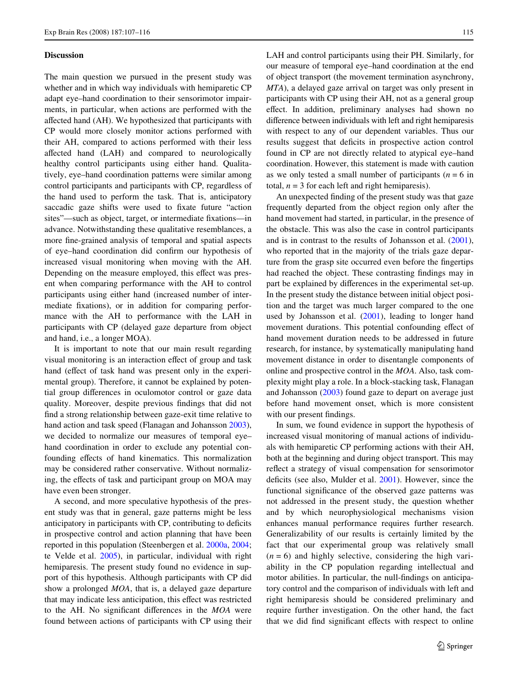#### **Discussion**

The main question we pursued in the present study was whether and in which way individuals with hemiparetic CP adapt eye–hand coordination to their sensorimotor impairments, in particular, when actions are performed with the affected hand (AH). We hypothesized that participants with CP would more closely monitor actions performed with their AH, compared to actions performed with their less affected hand (LAH) and compared to neurologically healthy control participants using either hand. Qualitatively, eye–hand coordination patterns were similar among control participants and participants with CP, regardless of the hand used to perform the task. That is, anticipatory saccadic gaze shifts were used to fixate future "action sites"—such as object, target, or intermediate fixations—in advance. Notwithstanding these qualitative resemblances, a more fine-grained analysis of temporal and spatial aspects of eye-hand coordination did confirm our hypothesis of increased visual monitoring when moving with the AH. Depending on the measure employed, this effect was present when comparing performance with the AH to control participants using either hand (increased number of intermediate fixations), or in addition for comparing performance with the AH to performance with the LAH in participants with CP (delayed gaze departure from object and hand, i.e., a longer MOA).

It is important to note that our main result regarding visual monitoring is an interaction effect of group and task hand (effect of task hand was present only in the experimental group). Therefore, it cannot be explained by potential group differences in oculomotor control or gaze data quality. Moreover, despite previous findings that did not find a strong relationship between gaze-exit time relative to hand action and task speed (Flanagan and Johansson [2003](#page-9-27)), we decided to normalize our measures of temporal eye– hand coordination in order to exclude any potential confounding effects of hand kinematics. This normalization may be considered rather conservative. Without normalizing, the effects of task and participant group on MOA may have even been stronger.

A second, and more speculative hypothesis of the present study was that in general, gaze patterns might be less anticipatory in participants with CP, contributing to deficits in prospective control and action planning that have been reported in this population (Steenbergen et al. [2000a](#page-9-12), [2004](#page-9-13); te Velde et al. [2005](#page-9-14)), in particular, individual with right hemiparesis. The present study found no evidence in support of this hypothesis. Although participants with CP did show a prolonged *MOA*, that is, a delayed gaze departure that may indicate less anticipation, this effect was restricted to the AH. No significant differences in the *MOA* were found between actions of participants with CP using their LAH and control participants using their PH. Similarly, for our measure of temporal eye–hand coordination at the end of object transport (the movement termination asynchrony, *MTA*), a delayed gaze arrival on target was only present in participants with CP using their AH, not as a general group effect. In addition, preliminary analyses had shown no difference between individuals with left and right hemiparesis with respect to any of our dependent variables. Thus our results suggest that deficits in prospective action control found in CP are not directly related to atypical eye–hand coordination. However, this statement is made with caution as we only tested a small number of participants ( $n = 6$  in total,  $n = 3$  for each left and right hemiparesis).

An unexpected finding of the present study was that gaze frequently departed from the object region only after the hand movement had started, in particular, in the presence of the obstacle. This was also the case in control participants and is in contrast to the results of Johansson et al. ([2001\)](#page-9-21), who reported that in the majority of the trials gaze departure from the grasp site occurred even before the fingertips had reached the object. These contrasting findings may in part be explained by differences in the experimental set-up. In the present study the distance between initial object position and the target was much larger compared to the one used by Johansson et al. [\(2001](#page-9-21)), leading to longer hand movement durations. This potential confounding effect of hand movement duration needs to be addressed in future research, for instance, by systematically manipulating hand movement distance in order to disentangle components of online and prospective control in the *MOA*. Also, task complexity might play a role. In a block-stacking task, Flanagan and Johansson ([2003\)](#page-9-27) found gaze to depart on average just before hand movement onset, which is more consistent with our present findings.

In sum, we found evidence in support the hypothesis of increased visual monitoring of manual actions of individuals with hemiparetic CP performing actions with their AH, both at the beginning and during object transport. This may reflect a strategy of visual compensation for sensorimotor deficits (see also, Mulder et al. [2001](#page-9-28)). However, since the functional significance of the observed gaze patterns was not addressed in the present study, the question whether and by which neurophysiological mechanisms vision enhances manual performance requires further research. Generalizability of our results is certainly limited by the fact that our experimental group was relatively small  $(n = 6)$  and highly selective, considering the high variability in the CP population regarding intellectual and motor abilities. In particular, the null-findings on anticipatory control and the comparison of individuals with left and right hemiparesis should be considered preliminary and require further investigation. On the other hand, the fact that we did find significant effects with respect to online